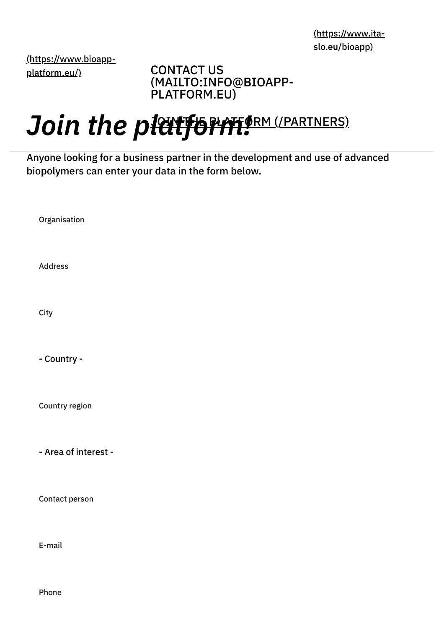[\(https://www.ita](https://www.ita-slo.eu/bioapp)slo.eu/bioapp)

[\(https://www.bioapp](https://www.bioapp-platform.eu/)platform.eu/)

CONTACT US [\(MAILTO:INFO@BIOAPP-](mailto:info@bioapp-platform.eu)PLATFORM.EU)

## Join the platform (/PARTNERS)

Anyone looking for a business partner in the development and use of advanced biopolymers can enter your data in the form below.

Organisation

Address

**City** 

- Country -

Country region

- Area of interest -

Contact person

E-mail

Phone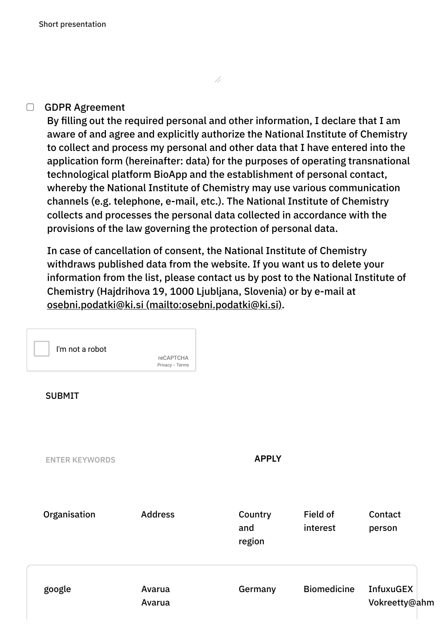## $\Box$ GDPR Agreement

By filling out the required personal and other information, I declare that I am aware of and agree and explicitly authorize the National Institute of Chemistry to collect and process my personal and other data that I have entered into the application form (hereinafter: data) for the purposes of operating transnational technological platform BioApp and the establishment of personal contact, whereby the National Institute of Chemistry may use various communication channels (e.g. telephone, e-mail, etc.). The National Institute of Chemistry collects and processes the personal data collected in accordance with the provisions of the law governing the protection of personal data.

//

In case of cancellation of consent, the National Institute of Chemistry withdraws published data from the website. If you want us to delete your information from the list, please contact us by post to the National Institute of Chemistry (Hajdrihova 19, 1000 Ljubljana, Slovenia) or by e-mail at osebni.podatki@ki.si [\(mailto:osebni.podatki@ki.si\)](mailto:osebni.podatki@ki.si).

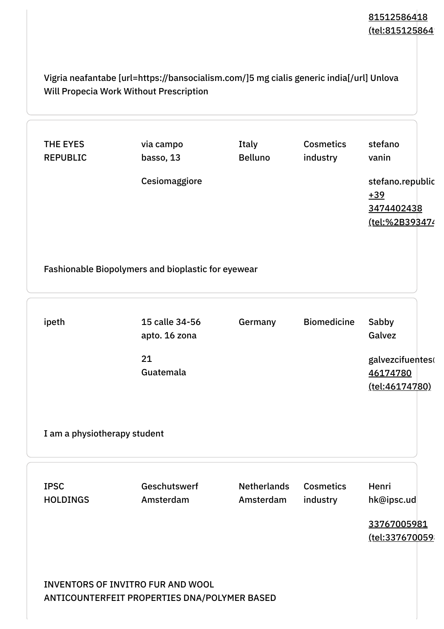## 81512586418 (tel:815125864)

Vigria neafantabe [url=https://bansocialism.com/]5 mg cialis generic india[/url] Unlova Will Propecia Work Without Prescription

| <b>REPUBLIC</b>                | via campo<br>basso, 13                             | Italy<br><b>Belluno</b>         | <b>Cosmetics</b><br>industry | stefano<br>vanin                                          |
|--------------------------------|----------------------------------------------------|---------------------------------|------------------------------|-----------------------------------------------------------|
|                                | Cesiomaggiore                                      |                                 |                              | stefano.republic<br>$+39$<br>3474402438<br>(tel:%2B393474 |
|                                | Fashionable Biopolymers and bioplastic for eyewear |                                 |                              |                                                           |
| ipeth                          | 15 calle 34-56<br>apto. 16 zona                    | Germany                         | <b>Biomedicine</b>           | Sabby<br>Galvez                                           |
|                                | 21<br>Guatemala                                    |                                 |                              | galvezcifuentes<br>46174780<br><u>(tel:46174780)</u>      |
| I am a physiotherapy student   |                                                    |                                 |                              |                                                           |
| <b>IPSC</b><br><b>HOLDINGS</b> | Geschutswerf<br>Amsterdam                          | <b>Netherlands</b><br>Amsterdam | <b>Cosmetics</b><br>industry | Henri<br>hk@ipsc.ud                                       |
|                                |                                                    |                                 |                              | 33767005981                                               |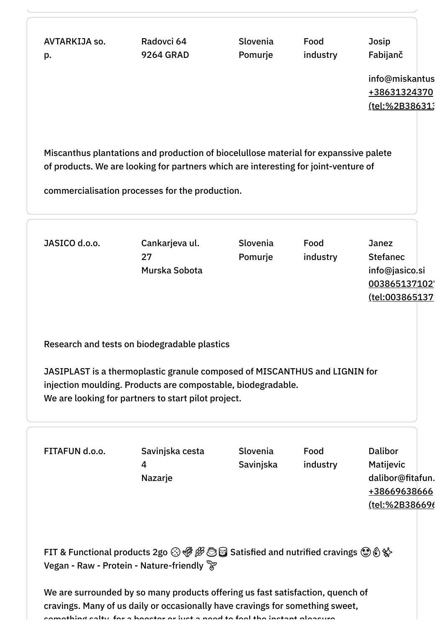AVTARKIJA so. p. Radovci 64 9264 GRAD Slovenia Pomurje Food industry Josip Fabijanč info@miskantus +38631324370 (tel:%2B38631; Miscanthus plantations and production of biocelullose material for expanssive palete of products. We are looking for partners which are interesting for joint-venture of commercialisation processes for the production. JASICO d.o.o. Cankarjeva ul. 27 Murska Sobota Slovenia Pomurje Food industry Janez Stefanec info@jasico.si 003865137102 (tel:003865137) Research and tests on biodegradable plastics JASIPLAST is a thermoplastic granule composed of MISCANTHUS and LIGNIN for injection moulding. Products are compostable, biodegradable. We are looking for partners to start pilot project. FITAFUN d.o.o. Savinjska cesta 4 Nazarje Slovenia Savinjska Food industry Dalibor Matijevic dalibor@fitafun. +38669638666 [\(tel:%2B386696](tel:%2B38669638666) FIT & Functional products 2go  $\odot$   $\mathcal{B} \mathcal{B}$   $\odot$  Satisfied and nutrified cravings  $\odot$   $\odot$   $\odot$ Vegan - Raw - Protein - Nature-friendly We are surrounded by so many products offering us fast satisfaction, quench of cravings. Many of us daily or occasionally have cravings for something sweet,

something salty for a booster or just a need to feel the instant pleasure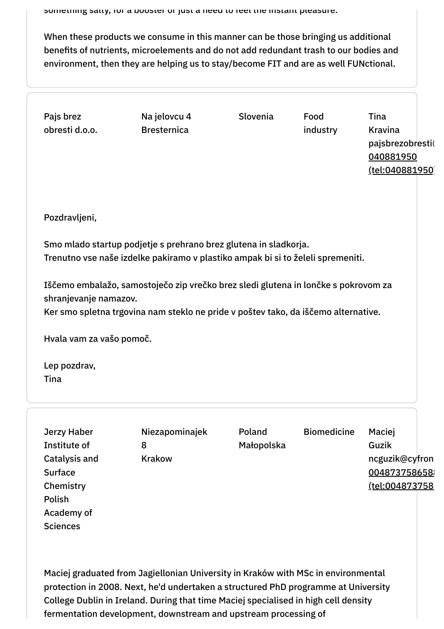When these products we consume in this manner can be those bringing us additional benefits of nutrients, microelements and do not add redundant trash to our bodies and environment, then they are helping us to stay/become FIT and are as well FUNctional.

| Pajs brez<br>obresti d.o.o.                                                                                                                                                                                                                                                                                                                              | Na jelovcu 4<br><b>Bresternica</b>   | Slovenia             | Food<br>industry   | Tina<br>Kravina<br>pajsbrezobresti(<br>040881950<br><u>(tel:040881950)</u> |  |  |                          |
|----------------------------------------------------------------------------------------------------------------------------------------------------------------------------------------------------------------------------------------------------------------------------------------------------------------------------------------------------------|--------------------------------------|----------------------|--------------------|----------------------------------------------------------------------------|--|--|--------------------------|
| Pozdravljeni,                                                                                                                                                                                                                                                                                                                                            |                                      |                      |                    |                                                                            |  |  |                          |
| Smo mlado startup podjetje s prehrano brez glutena in sladkorja.<br>Trenutno vse naše izdelke pakiramo v plastiko ampak bi si to želeli spremeniti.<br>Iščemo embalažo, samostoječo zip vrečko brez sledi glutena in lončke s pokrovom za<br>shranjevanje namazov.<br>Ker smo spletna trgovina nam steklo ne pride v poštev tako, da iščemo alternative. |                                      |                      |                    |                                                                            |  |  |                          |
|                                                                                                                                                                                                                                                                                                                                                          |                                      |                      |                    |                                                                            |  |  | Hvala vam za vašo pomoč. |
| Lep pozdrav,<br>Tina                                                                                                                                                                                                                                                                                                                                     |                                      |                      |                    |                                                                            |  |  |                          |
| Jerzy Haber<br>Institute of<br><b>Catalysis and</b><br><b>Surface</b><br>Chemistry<br>Polish<br>Academy of<br><b>Sciences</b>                                                                                                                                                                                                                            | Niezapominajek<br>8<br><b>Krakow</b> | Poland<br>Małopolska | <b>Biomedicine</b> | Maciej<br>Guzik<br>ncguzik@cyfron<br>004873758658<br><u>(tel:004873758</u> |  |  |                          |

Maciej graduated from Jagiellonian University in Kraków with MSc in environmental protection in 2008. Next, he'd undertaken a structured PhD programme at University College Dublin in Ireland. During that time Maciej specialised in high cell density fermentation development, downstream and upstream processing of